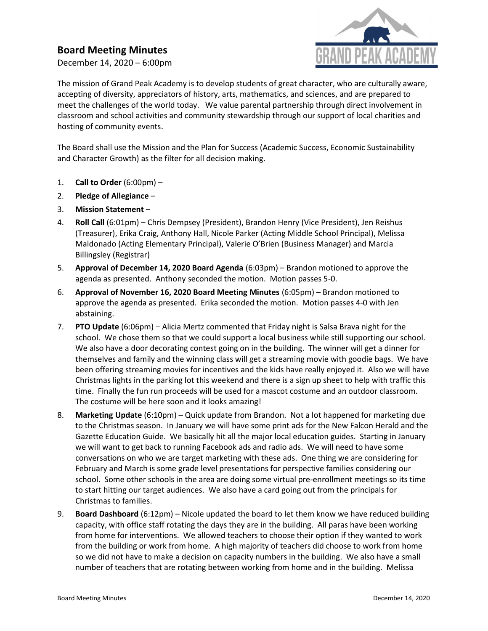## Board Meeting Minutes

December 14, 2020 – 6:00pm



The mission of Grand Peak Academy is to develop students of great character, who are culturally aware, accepting of diversity, appreciators of history, arts, mathematics, and sciences, and are prepared to meet the challenges of the world today. We value parental partnership through direct involvement in classroom and school activities and community stewardship through our support of local charities and hosting of community events.

The Board shall use the Mission and the Plan for Success (Academic Success, Economic Sustainability and Character Growth) as the filter for all decision making.

- 1. Call to Order  $(6:00 \text{pm})$  –
- 2. Pledge of Allegiance –
- 3. Mission Statement –
- 4. Roll Call (6:01pm) Chris Dempsey (President), Brandon Henry (Vice President), Jen Reishus (Treasurer), Erika Craig, Anthony Hall, Nicole Parker (Acting Middle School Principal), Melissa Maldonado (Acting Elementary Principal), Valerie O'Brien (Business Manager) and Marcia Billingsley (Registrar)
- 5. Approval of December 14, 2020 Board Agenda (6:03pm) Brandon motioned to approve the agenda as presented. Anthony seconded the motion. Motion passes 5-0.
- 6. Approval of November 16, 2020 Board Meeting Minutes (6:05pm) Brandon motioned to approve the agenda as presented. Erika seconded the motion. Motion passes 4-0 with Jen abstaining.
- 7. PTO Update (6:06pm) Alicia Mertz commented that Friday night is Salsa Brava night for the school. We chose them so that we could support a local business while still supporting our school. We also have a door decorating contest going on in the building. The winner will get a dinner for themselves and family and the winning class will get a streaming movie with goodie bags. We have been offering streaming movies for incentives and the kids have really enjoyed it. Also we will have Christmas lights in the parking lot this weekend and there is a sign up sheet to help with traffic this time. Finally the fun run proceeds will be used for a mascot costume and an outdoor classroom. The costume will be here soon and it looks amazing!
- 8. Marketing Update (6:10pm) Quick update from Brandon. Not a lot happened for marketing due to the Christmas season. In January we will have some print ads for the New Falcon Herald and the Gazette Education Guide. We basically hit all the major local education guides. Starting in January we will want to get back to running Facebook ads and radio ads. We will need to have some conversations on who we are target marketing with these ads. One thing we are considering for February and March is some grade level presentations for perspective families considering our school. Some other schools in the area are doing some virtual pre-enrollment meetings so its time to start hitting our target audiences. We also have a card going out from the principals for Christmas to families.
- 9. Board Dashboard (6:12pm) Nicole updated the board to let them know we have reduced building capacity, with office staff rotating the days they are in the building. All paras have been working from home for interventions. We allowed teachers to choose their option if they wanted to work from the building or work from home. A high majority of teachers did choose to work from home so we did not have to make a decision on capacity numbers in the building. We also have a small number of teachers that are rotating between working from home and in the building. Melissa